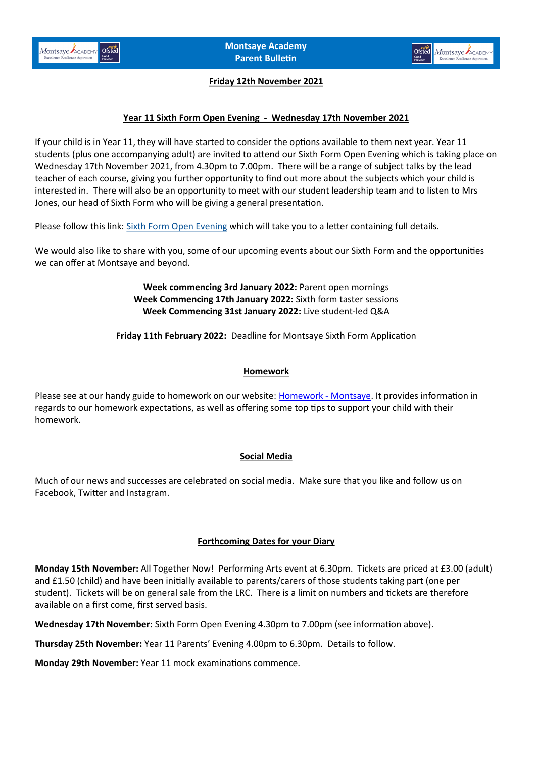



### **Friday 12th November 2021**

# **Year 11 Sixth Form Open Evening - Wednesday 17th November 2021**

If your child is in Year 11, they will have started to consider the options available to them next year. Year 11 students (plus one accompanying adult) are invited to attend our Sixth Form Open Evening which is taking place on Wednesday 17th November 2021, from 4.30pm to 7.00pm. There will be a range of subject talks by the lead teacher of each course, giving you further opportunity to find out more about the subjects which your child is interested in. There will also be an opportunity to meet with our student leadership team and to listen to Mrs Jones, our head of Sixth Form who will be giving a general presentation.

Please follow this link: [Sixth Form Open Evening](https://www.montsaye.northants.sch.uk/assets/Uploads/Sixth-Form-Open-Evening-ltr-Nov-2021.pdf) which will take you to a letter containing full details.

We would also like to share with you, some of our upcoming events about our Sixth Form and the opportunities we can offer at Montsaye and beyond.

> **Week commencing 3rd January 2022:** Parent open mornings **Week Commencing 17th January 2022:** Sixth form taster sessions **Week Commencing 31st January 2022:** Live student-led Q&A

**Friday 11th February 2022:** Deadline for Montsaye Sixth Form Application

### **Homework**

Please see at our handy guide to homework on our website: [Homework](https://www.montsaye.northants.sch.uk/parents/homework/) - Montsaye. It provides information in regards to our homework expectations, as well as offering some top tips to support your child with their homework.

### **Social Media**

Much of our news and successes are celebrated on social media. Make sure that you like and follow us on Facebook, Twitter and Instagram.

#### **Forthcoming Dates for your Diary**

**Monday 15th November:** All Together Now! Performing Arts event at 6.30pm. Tickets are priced at £3.00 (adult) and £1.50 (child) and have been initially available to parents/carers of those students taking part (one per student). Tickets will be on general sale from the LRC. There is a limit on numbers and tickets are therefore available on a first come, first served basis.

**Wednesday 17th November:** Sixth Form Open Evening 4.30pm to 7.00pm (see information above).

**Thursday 25th November:** Year 11 Parents' Evening 4.00pm to 6.30pm. Details to follow.

**Monday 29th November:** Year 11 mock examinations commence.